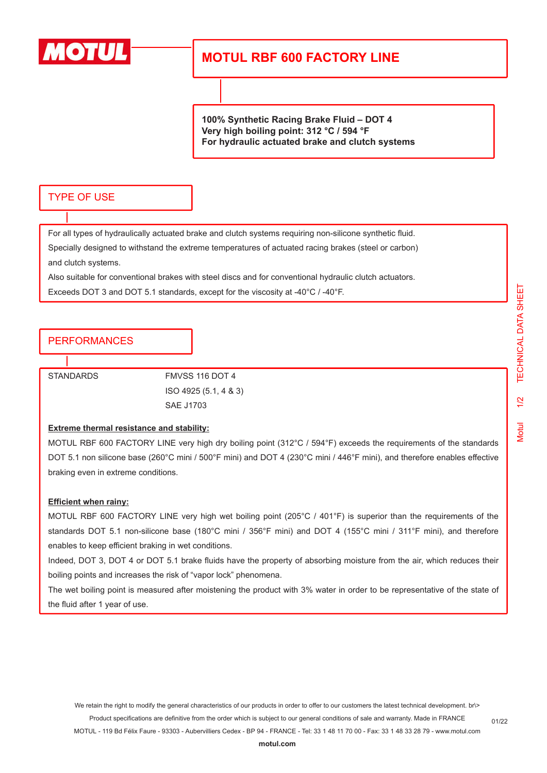

# **MOTUL RBF 600 FACTORY LINE**

**100% Synthetic Racing Brake Fluid – DOT 4 Very high boiling point: 312 °C / 594 °F For hydraulic actuated brake and clutch systems**

### TYPE OF USE

For all types of hydraulically actuated brake and clutch systems requiring non-silicone synthetic fluid. Specially designed to withstand the extreme temperatures of actuated racing brakes (steel or carbon) and clutch systems.

Also suitable for conventional brakes with steel discs and for conventional hydraulic clutch actuators.

Exceeds DOT 3 and DOT 5.1 standards, except for the viscosity at -40°C / -40°F.

## PERFORMANCES

STANDARDS FMVSS 116 DOT 4 ISO 4925 (5.1, 4 & 3) SAE J1703

#### **Extreme thermal resistance and stability:**

MOTUL RBF 600 FACTORY LINE very high dry boiling point (312°C / 594°F) exceeds the requirements of the standards DOT 5.1 non silicone base (260°C mini / 500°F mini) and DOT 4 (230°C mini / 446°F mini), and therefore enables effective braking even in extreme conditions.

#### **Efficient when rainy:**

MOTUL RBF 600 FACTORY LINE very high wet boiling point (205°C / 401°F) is superior than the requirements of the standards DOT 5.1 non-silicone base (180°C mini / 356°F mini) and DOT 4 (155°C mini / 311°F mini), and therefore enables to keep efficient braking in wet conditions.

Indeed, DOT 3, DOT 4 or DOT 5.1 brake fluids have the property of absorbing moisture from the air, which reduces their boiling points and increases the risk of "vapor lock" phenomena.

The wet boiling point is measured after moistening the product with 3% water in order to be representative of the state of the fluid after 1 year of use.